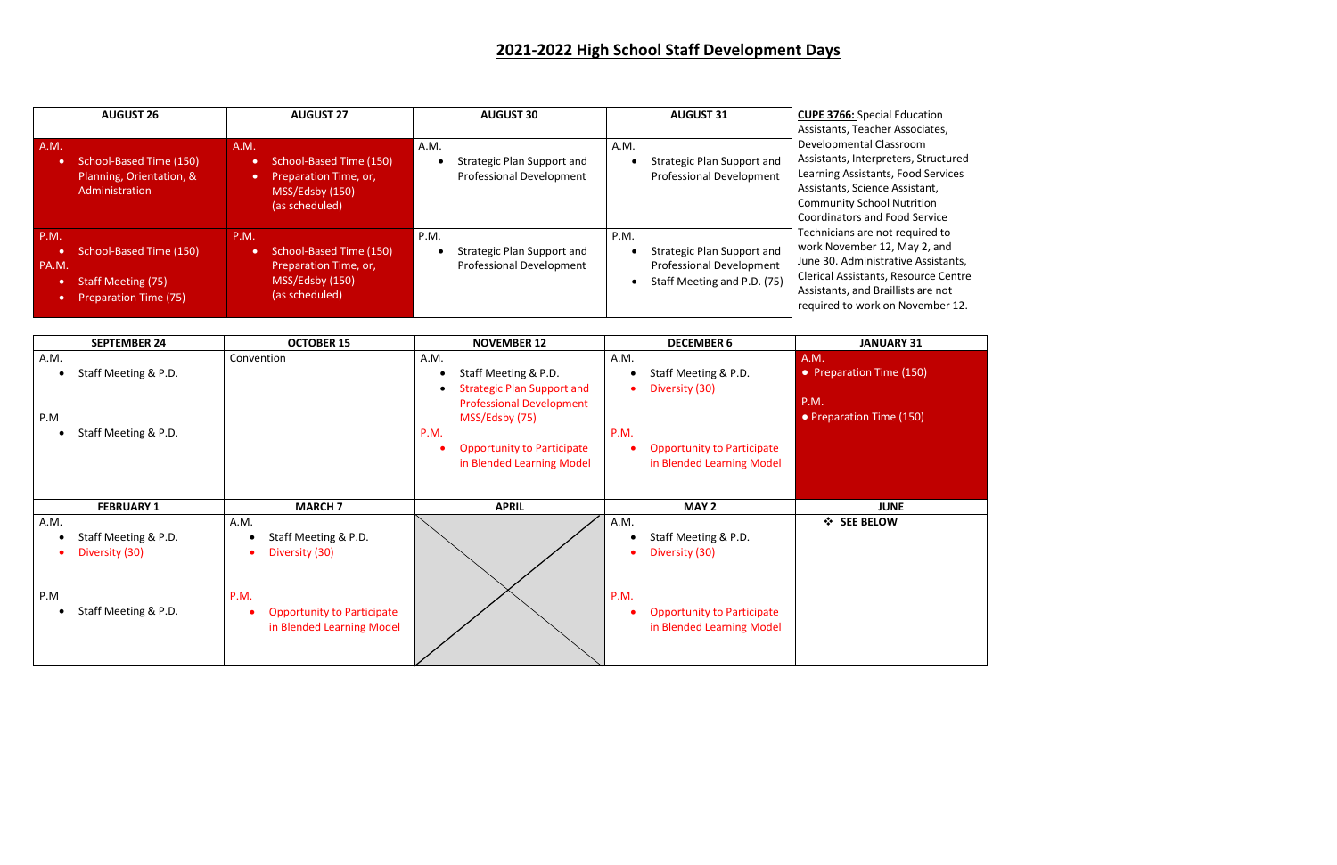# **2021-2022 High School Staff Development Days**

| <b>AUGUST 26</b>                                                                                                   | <b>AUGUST 27</b>                                                                                                        | <b>AUGUST 30</b>                                                      | <b>AUGUST 31</b>                                                                                     | <b>CUPE 3766:</b> Special Education                                                                                                                                                                                                              |
|--------------------------------------------------------------------------------------------------------------------|-------------------------------------------------------------------------------------------------------------------------|-----------------------------------------------------------------------|------------------------------------------------------------------------------------------------------|--------------------------------------------------------------------------------------------------------------------------------------------------------------------------------------------------------------------------------------------------|
| A.M.<br>School-Based Time (150)<br>Planning, Orientation, &<br>Administration                                      | A.M.<br>School-Based Time (150)<br>$\bullet$<br>Preparation Time, or,<br>$\bullet$<br>MSS/Edsby (150)<br>(as scheduled) | A.M.<br>Strategic Plan Support and<br><b>Professional Development</b> | A.M.<br>Strategic Plan Support and<br><b>Professional Development</b>                                | Assistants, Teacher Associates,<br>Developmental Classroom<br>Assistants, Interpreters, Structured<br>Learning Assistants, Food Services<br>Assistants, Science Assistant,<br><b>Community School Nutrition</b><br>Coordinators and Food Service |
| P.M.<br>School-Based Time (150)<br>$\bullet$<br>PA.M.<br><b>Staff Meeting (75)</b><br><b>Preparation Time (75)</b> | <b>P.M.</b><br>School-Based Time (150)<br>$\bullet$<br>Preparation Time, or,<br>MSS/Edsby (150)<br>(as scheduled)       | P.M.<br>Strategic Plan Support and<br><b>Professional Development</b> | P.M.<br>Strategic Plan Support and<br><b>Professional Development</b><br>Staff Meeting and P.D. (75) | Technicians are not required to<br>work November 12, May 2, and<br>June 30. Administrative Assistants,<br>Clerical Assistants, Resource Centre<br>Assistants, and Braillists are not<br>required to work on November 12.                         |

| <b>SEPTEMBER 24</b>         | <b>OCTOBER 15</b>                              | <b>NOVEMBER 12</b>                             | <b>DECEMBER 6</b>                 | <b>JANUARY 31</b>        |
|-----------------------------|------------------------------------------------|------------------------------------------------|-----------------------------------|--------------------------|
| A.M.                        | Convention                                     | A.M.                                           | A.M.                              | A.M.                     |
| Staff Meeting & P.D.        |                                                | Staff Meeting & P.D.                           | Staff Meeting & P.D.              | • Preparation Time (150) |
|                             |                                                | <b>Strategic Plan Support and</b><br>$\bullet$ | Diversity (30)                    |                          |
|                             |                                                | <b>Professional Development</b>                |                                   | <b>P.M.</b>              |
| P.M                         |                                                | MSS/Edsby (75)                                 |                                   | • Preparation Time (150) |
| Staff Meeting & P.D.        |                                                | P.M.                                           | P.M.                              |                          |
|                             |                                                | <b>Opportunity to Participate</b>              | <b>Opportunity to Participate</b> |                          |
|                             |                                                | in Blended Learning Model                      | in Blended Learning Model         |                          |
|                             |                                                |                                                |                                   |                          |
|                             |                                                |                                                |                                   |                          |
|                             |                                                |                                                |                                   |                          |
| <b>FEBRUARY 1</b>           | <b>MARCH 7</b>                                 | <b>APRIL</b>                                   | MAY 2                             | <b>JUNE</b>              |
| A.M.                        | A.M.                                           |                                                | A.M.                              | ❖ SEE BELOW              |
| Staff Meeting & P.D.        | Staff Meeting & P.D.<br>$\bullet$              |                                                | Staff Meeting & P.D.              |                          |
| Diversity (30)<br>$\bullet$ | Diversity (30)<br>$\bullet$                    |                                                | Diversity (30)                    |                          |
|                             |                                                |                                                |                                   |                          |
|                             |                                                |                                                |                                   |                          |
| P.M                         | P.M.                                           |                                                | P.M.                              |                          |
| Staff Meeting & P.D.        | <b>Opportunity to Participate</b><br>$\bullet$ |                                                | <b>Opportunity to Participate</b> |                          |
|                             | in Blended Learning Model                      |                                                | in Blended Learning Model         |                          |
|                             |                                                |                                                |                                   |                          |